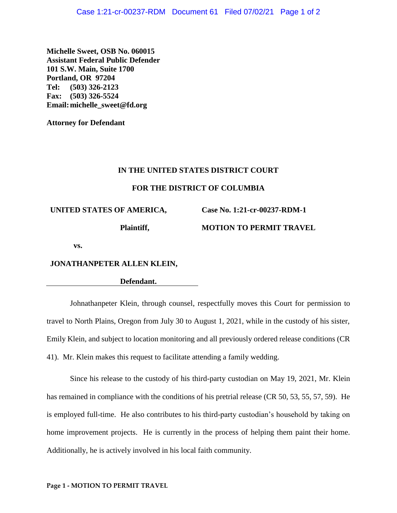**Michelle Sweet, OSB No. 060015 Assistant Federal Public Defender 101 S.W. Main, Suite 1700 Portland, OR 97204 Tel: (503) 326-2123 Fax: (503) 326-5524 Email:michelle\_sweet@fd.org**

**Attorney for Defendant**

## **IN THE UNITED STATES DISTRICT COURT**

## **FOR THE DISTRICT OF COLUMBIA**

## **UNITED STATES OF AMERICA,**

**Plaintiff,**

**Case No. 1:21-cr-00237-RDM-1**

**MOTION TO PERMIT TRAVEL**

**vs.**

# **JONATHANPETER ALLEN KLEIN,**

**Defendant.**

Johnathanpeter Klein, through counsel, respectfully moves this Court for permission to travel to North Plains, Oregon from July 30 to August 1, 2021, while in the custody of his sister, Emily Klein, and subject to location monitoring and all previously ordered release conditions (CR 41). Mr. Klein makes this request to facilitate attending a family wedding.

Since his release to the custody of his third-party custodian on May 19, 2021, Mr. Klein has remained in compliance with the conditions of his pretrial release (CR 50, 53, 55, 57, 59). He is employed full-time. He also contributes to his third-party custodian's household by taking on home improvement projects. He is currently in the process of helping them paint their home. Additionally, he is actively involved in his local faith community.